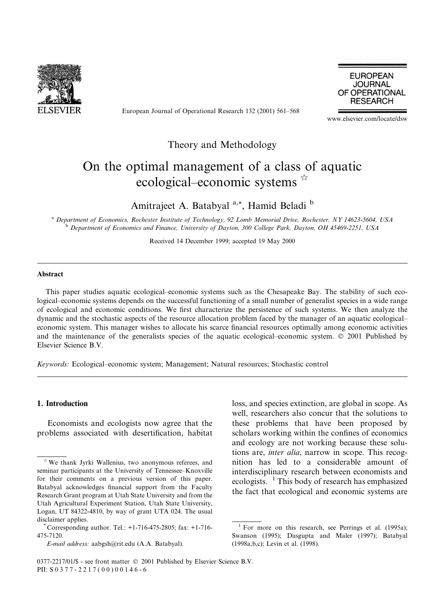

European Journal of Operational Research 132 (2001) 561–568

**EUROPEAN JOURNAL** OF OPERATIONAL **RESEARCH** 

www.elsevier.com/locate/dsw

### Theory and Methodology

## On the optimal management of a class of aquatic ecological–economic systems \*

Amitrajeet A. Batabyal<sup>a,\*</sup>, Hamid Beladi<sup>b</sup>

a Department of Economics, Rochester Institute of Technology, 92 Lomb Memorial Drive, Rochester, NY 14623-5604, USA <sup>b</sup> Department of Economics and Finance, University of Dayton, 300 College Park, Dayton, OH 45469-2251, USA

Received 14 December 1999; accepted 19 May 2000

#### **Abstract**

This paper studies aquatic ecological-economic systems such as the Chesapeake Bay. The stability of such ecological–economic systems depends on the successful functioning of a small number of generalist species in a wide range of ecological and economic conditions. We first characterize the persistence of such systems. We then analyze the dynamic and the stochastic aspects of the resource allocation problem faced by the manager of an aquatic ecologicaleconomic system. This manager wishes to allocate his scarce financial resources optimally among economic activities and the maintenance of the generalists species of the aquatic ecological–economic system. © 2001 Published by Elsevier Science B.V.

Keywords: Ecological-economic system; Management; Natural resources; Stochastic control

#### 1. Introduction

Economists and ecologists now agree that the problems associated with desertification, habitat

E-mail address: aabgsh@rit.edu (A.A. Batabyal).

loss, and species extinction, are global in scope. As well, researchers also concur that the solutions to these problems that have been proposed by scholars working within the confines of economics and ecology are not working because these solutions are, *inter alia*, narrow in scope. This recognition has led to a considerable amount of interdisciplinary research between economists and ecologists.  $\frac{1}{1}$  This body of research has emphasized the fact that ecological and economic systems are

0377-2217/01/\$ - see front matter © 2001 Published by Elsevier Science B.V. PII: S 0 3 7 7 - 2 2 1 7 (00) 0 0 1 4 6 - 6

 $\star$  We thank Jyrki Wallenius, two anonymous referees, and seminar participants at the University of Tennessee-Knoxville for their comments on a previous version of this paper. Batabyal acknowledges financial support from the Faculty Research Grant program at Utah State University and from the Utah Agricultural Experiment Station, Utah State University, Logan, UT 84322-4810, by way of grant UTA 024. The usual disclaimer applies.

Corresponding author. Tel.: +1-716-475-2805; fax: +1-716-475-7120.

<sup>&</sup>lt;sup>1</sup> For more on this research, see Perrings et al.  $(1995a)$ ; Swanson (1995); Dasgupta and Maler (1997); Batabyal (1998a, b,c); Levin et al. (1998).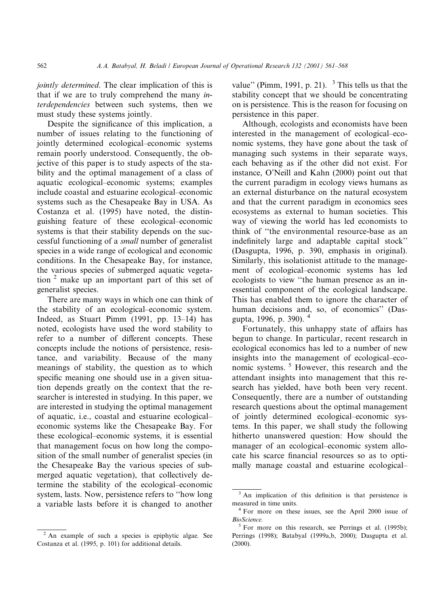jointly determined. The clear implication of this is that if we are to truly comprehend the many interdependencies between such systems, then we must study these systems jointly.

Despite the significance of this implication, a number of issues relating to the functioning of jointly determined ecological-economic systems remain poorly understood. Consequently, the objective of this paper is to study aspects of the stability and the optimal management of a class of aquatic ecological-economic systems; examples include coastal and estuarine ecological–economic systems such as the Chesapeake Bay in USA. As Costanza et al. (1995) have noted, the distinguishing feature of these ecological-economic systems is that their stability depends on the successful functioning of a *small* number of generalist species in a wide range of ecological and economic conditions. In the Chesapeake Bay, for instance, the various species of submerged aquatic vegetation  $2$  make up an important part of this set of generalist species.

There are many ways in which one can think of the stability of an ecological-economic system. Indeed, as Stuart Pimm  $(1991, pp. 13-14)$  has noted, ecologists have used the word stability to refer to a number of different concepts. These concepts include the notions of persistence, resistance, and variability. Because of the many meanings of stability, the question as to which specific meaning one should use in a given situation depends greatly on the context that the researcher is interested in studying. In this paper, we are interested in studying the optimal management of aquatic, i.e., coastal and estuarine ecologicaleconomic systems like the Chesapeake Bay. For these ecological–economic systems, it is essential that management focus on how long the composition of the small number of generalist species (in the Chesapeake Bay the various species of submerged aquatic vegetation), that collectively determine the stability of the ecological-economic system, lasts. Now, persistence refers to "how long" a variable lasts before it is changed to another

value" (Pimm, 1991, p. 21).  $3$  This tells us that the stability concept that we should be concentrating on is persistence. This is the reason for focusing on persistence in this paper.

Although, ecologists and economists have been interested in the management of ecological-economic systems, they have gone about the task of managing such systems in their separate ways, each behaving as if the other did not exist. For instance, O'Neill and Kahn (2000) point out that the current paradigm in ecology views humans as an external disturbance on the natural ecosystem and that the current paradigm in economics sees ecosystems as external to human societies. This way of viewing the world has led economists to think of "the environmental resource-base as an indefinitely large and adaptable capital stock" (Dasgupta, 1996, p. 390, emphasis in original). Similarly, this isolationist attitude to the management of ecological-economic systems has led ecologists to view "the human presence as an inessential component of the ecological landscape. This has enabled them to ignore the character of human decisions and, so, of economics" (Dasgupta, 1996, p. 390). <sup>4</sup>

Fortunately, this unhappy state of affairs has begun to change. In particular, recent research in ecological economics has led to a number of new insights into the management of ecological-economic systems.<sup>5</sup> However, this research and the attendant insights into management that this research has yielded, have both been very recent. Consequently, there are a number of outstanding research questions about the optimal management of jointly determined ecological-economic systems. In this paper, we shall study the following hitherto unanswered question: How should the manager of an ecological-economic system allocate his scarce financial resources so as to optimally manage coastal and estuarine ecological-

 $2$  An example of such a species is epiphytic algae. See Costanza et al. (1995, p. 101) for additional details.

 $3$  An implication of this definition is that persistence is measured in time units.

 $4$  For more on these issues, see the April 2000 issue of **BioScience** 

 $5$  For more on this research, see Perrings et al. (1995b); Perrings (1998); Batabyal (1999a,b, 2000); Dasgupta et al.  $(2000).$